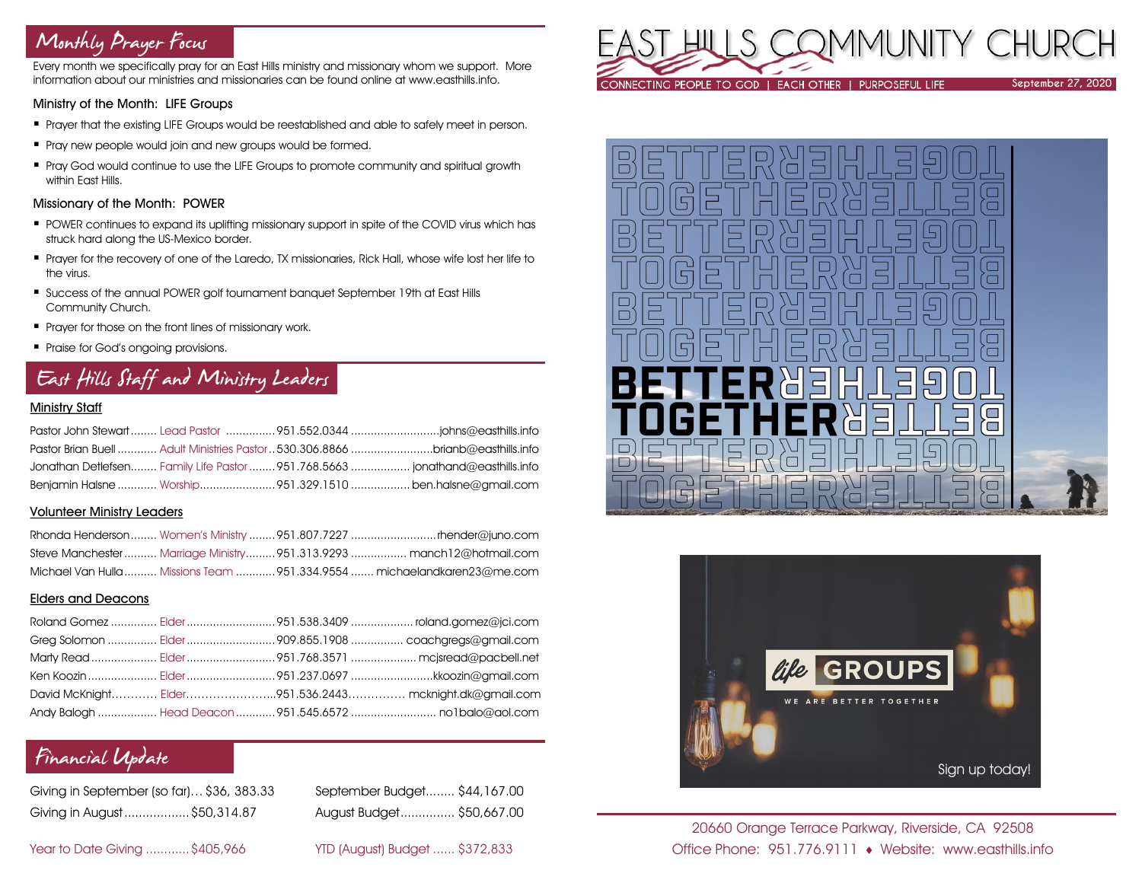# Monthly Prayer Focus

Every month we specifically pray for an East Hills ministry and missionary whom we support. More information about our ministries and missionaries can be found online at www.easthills.info.

### Ministry of the Month: LIFE Groups

- Prayer that the existing LIFE Groups would be reestablished and able to safely meet in person.
- **Pray new people would join and new groups would be formed.**
- Pray God would continue to use the LIFE Groups to promote community and spiritual growth within East Hills.

### Missionary of the Month: POWER

- POWER continues to expand its uplifting missionary support in spite of the COVID virus which has struck hard along the US-Mexico border.
- Prayer for the recovery of one of the Laredo, TX missionaries, Rick Hall, whose wife lost her life to the virus.
- Success of the annual POWER golf tournament banquet September 19th at East Hills Community Church.
- **•** Prayer for those on the front lines of missionary work.
- Praise for God's ongoing provisions.

# East Hills Staff and Ministry Leaders

### Ministry Staff

| Pastor Brian Buell  Adult Ministries Pastor  530.306.8866 brianb@easthills.info |  |
|---------------------------------------------------------------------------------|--|
| Jonathan Detlefsen Family Life Pastor  951.768.5663  jonathand@easthills.info   |  |
|                                                                                 |  |

### Volunteer Ministry Leaders

|  | Steve Manchester  Marriage Ministry  951.313.9293  manch12@hotmail.com   |
|--|--------------------------------------------------------------------------|
|  | Michael Van Hulla  Missions Team  951.334.9554  michaelandkaren23@me.com |

### Elders and Deacons

|  | David McKnight Elder951.536.2443 mcknight.dk@gmail.com |
|--|--------------------------------------------------------|
|  |                                                        |

# Financial Update

| Giving in September (so far) \$36, 383.33 |  |
|-------------------------------------------|--|
| Giving in August \$50,314.87              |  |

September Budget........ \$44,167.00 Giving in August..................\$50,314.87 August Budget............... \$50,667.00

Year to Date Giving ............\$405,966 YTD (August) Budget ...... \$372,833







### 20660 Orange Terrace Parkway, Riverside, CA 92508 Office Phone: 951.776.9111 Website: www.easthills.info